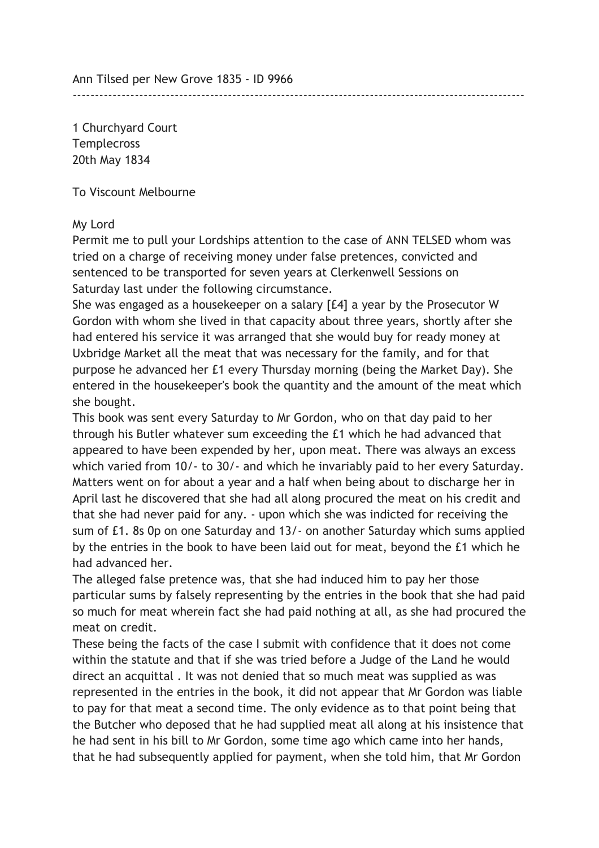Ann Tilsed per New Grove 1835 - ID 9966

1 Churchyard Court **Templecross** 20th May 1834

To Viscount Melbourne

## My Lord

Permit me to pull your Lordships attention to the case of ANN TELSED whom was tried on a charge of receiving money under false pretences, convicted and sentenced to be transported for seven years at Clerkenwell Sessions on Saturday last under the following circumstance.

------------------------------------------------------------------------------------------------------

She was engaged as a housekeeper on a salary [£4] a year by the Prosecutor W Gordon with whom she lived in that capacity about three years, shortly after she had entered his service it was arranged that she would buy for ready money at Uxbridge Market all the meat that was necessary for the family, and for that purpose he advanced her £1 every Thursday morning (being the Market Day). She entered in the housekeeper's book the quantity and the amount of the meat which she bought.

This book was sent every Saturday to Mr Gordon, who on that day paid to her through his Butler whatever sum exceeding the £1 which he had advanced that appeared to have been expended by her, upon meat. There was always an excess which varied from 10/- to 30/- and which he invariably paid to her every Saturday. Matters went on for about a year and a half when being about to discharge her in April last he discovered that she had all along procured the meat on his credit and that she had never paid for any. - upon which she was indicted for receiving the sum of £1. 8s 0p on one Saturday and 13/- on another Saturday which sums applied by the entries in the book to have been laid out for meat, beyond the £1 which he had advanced her.

The alleged false pretence was, that she had induced him to pay her those particular sums by falsely representing by the entries in the book that she had paid so much for meat wherein fact she had paid nothing at all, as she had procured the meat on credit.

These being the facts of the case I submit with confidence that it does not come within the statute and that if she was tried before a Judge of the Land he would direct an acquittal . It was not denied that so much meat was supplied as was represented in the entries in the book, it did not appear that Mr Gordon was liable to pay for that meat a second time. The only evidence as to that point being that the Butcher who deposed that he had supplied meat all along at his insistence that he had sent in his bill to Mr Gordon, some time ago which came into her hands, that he had subsequently applied for payment, when she told him, that Mr Gordon